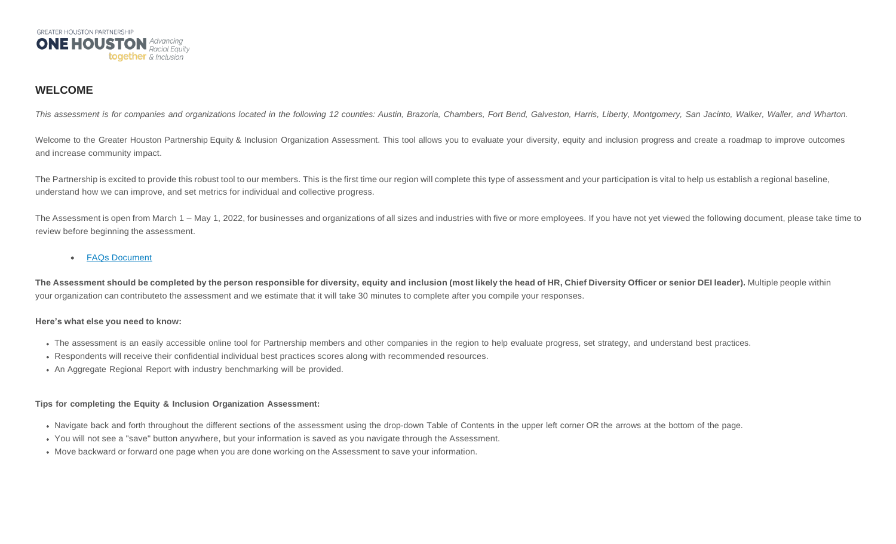

# **WELCOME**

This assessment is for companies and organizations located in the following 12 counties: Austin, Brazoria, Chambers, Fort Bend, Galveston, Harris, Liberty, Montgomery, San Jacinto, Walker, Waller, and Wharton.

Welcome to the Greater Houston Partnership Equity & Inclusion Organization Assessment. This tool allows you to evaluate your diversity, equity and inclusion progress and create a roadmap to improve outcomes and increase community impact.

The Partnership is excited to provide this robust tool to our members. This is the first time our region will complete this type of assessment and your participation is vital to help us establish a regional baseline, understand how we can improve, and set metrics for individual and collective progress.

The Assessment is open from March 1 – May 1, 2022, for businesses and organizations of all sizes and industries with five or more employees. If you have not yet viewed the following document, please take time to review before beginning the assessment.

# • FAQs [Document](https://gcp.co1.qualtrics.com/CP/File.php?F=F_7NBp1wMbm77wbye)

The Assessment should be completed by the person responsible for diversity, equity and inclusion (most likely the head of HR, Chief Diversity Officer or senior DEI leader). Multiple people within your organization can contributeto the assessment and we estimate that it will take 30 minutes to complete after you compile your responses.

# **Here's what else you need to know:**

- The assessment is an easily accessible online tool for Partnership members and other companies in the region to help evaluate progress, set strategy, and understand best practices.
- Respondents will receive their confidential individual best practices scores along with recommended resources.
- An Aggregate Regional Report with industry benchmarking will be provided.

# **Tips for completing the Equity & Inclusion Organization Assessment:**

- Navigate back and forth throughout the different sections of the assessment using the drop-down Table of Contents in the upper left corner OR the arrows at the bottom of the page.
- You will not see a "save" button anywhere, but your information is saved as you navigate through the Assessment.
- Move backward or forward one page when you are done working on the Assessment to save your information.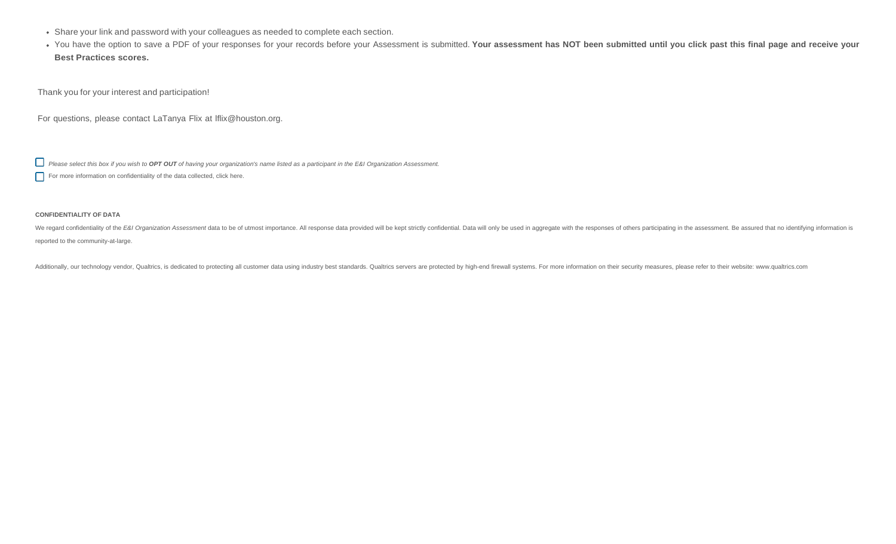- Share your link and password with your colleagues as needed to complete each section.
- You have the option to save a PDF of your responses for your records before your Assessment is submitted. Your assessment has NOT been submitted until you click past this final page and receive your **Best Practices scores.**

Thank you for your interest and participation!

For questions, please contact LaTanya Flix at [lflix@houston.org.](mailto:lflix@houston.org)

Please select this box if you wish to OPT OUT of having your organization's name listed as a participant in the E&I Organization Assessment.

For more information on confidentiality of the data collected, click here.

#### **CONFIDENTIALITY OF DATA**

We regard confidentiality of the E&I Organization Assessment data to be of utmost importance. All response data provided will be kept strictly confidential. Data will only be used in aggregate with the responses of others reported to the community-at-large.

Additionally, our technology vendor, Qualtrics, is dedicated to protecting all customer data using industry best standards. Qualtrics servers are protected by high-end firewall systems. For more information on their securi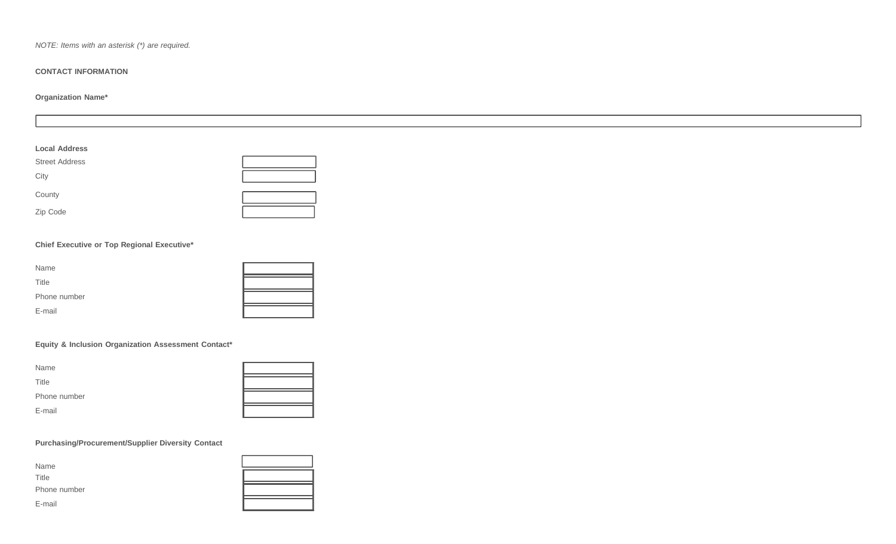*NOTE: Items with an asterisk (\*) are required.*

# **CONTACT INFORMATION**

# **Organization Name\***

| <b>Local Address</b>  |  |
|-----------------------|--|
| <b>Street Address</b> |  |
| City                  |  |
| County                |  |
| Zip Code              |  |

# **Chief Executive or Top Regional Executive\***

| Name         |  |
|--------------|--|
| Title        |  |
| Phone number |  |
| E-mail       |  |

# **Equity & Inclusion Organization Assessment Contact\***

| Name         |  |
|--------------|--|
| Title        |  |
| Phone number |  |
| E-mail       |  |

# **Purchasing/Procurement/Supplier Diversity Contact**

| Name         |  |
|--------------|--|
| Title        |  |
| Phone number |  |
| E-mail       |  |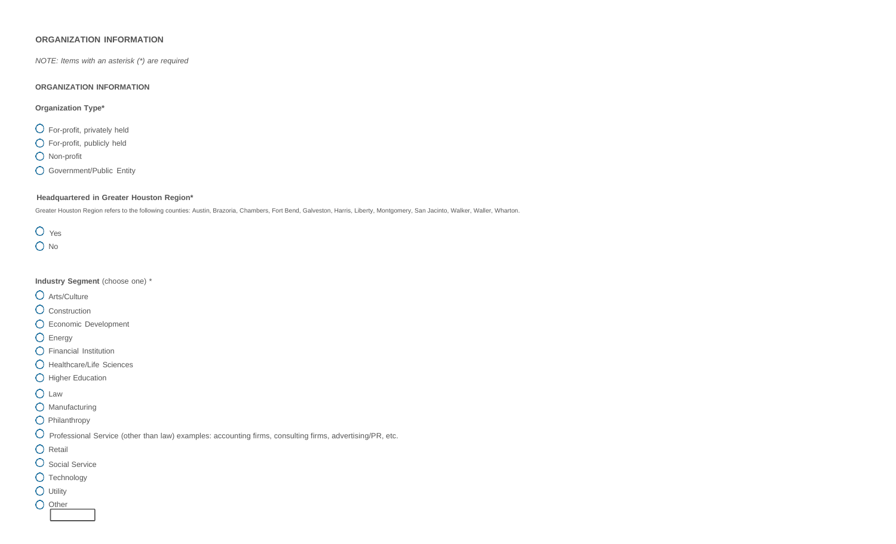# **ORGANIZATION INFORMATION**

*NOTE: Items with an asterisk (\*) are required*

#### **ORGANIZATION INFORMATION**

### **Organization Type\***

- For-profit, privately held
- For-profit, publicly held
- **O** Non-profit
- **O** Government/Public Entity

# **Headquartered in Greater Houston Region\***

Greater Houston Region refers to the following counties: Austin, Brazoria, Chambers, Fort Bend, Galveston, Harris, Liberty, Montgomery, San Jacinto, Walker, Waller, Wharton.

 $O$   $Yes$ O No

**Industry Segment** (choose one) \*

- Arts/Culture
- O Construction
- Economic Development
- O Energy
- Financial Institution
- **O** Healthcare/Life Sciences
- **O** Higher Education
- O Law
- **O** Manufacturing
- **O** Philanthropy
- $O$  Professional Service (other than law) examples: accounting firms, consulting firms, advertising/PR, etc.
- O Retail
- O Social Service
- O Technology
- **O** Utility
- O Other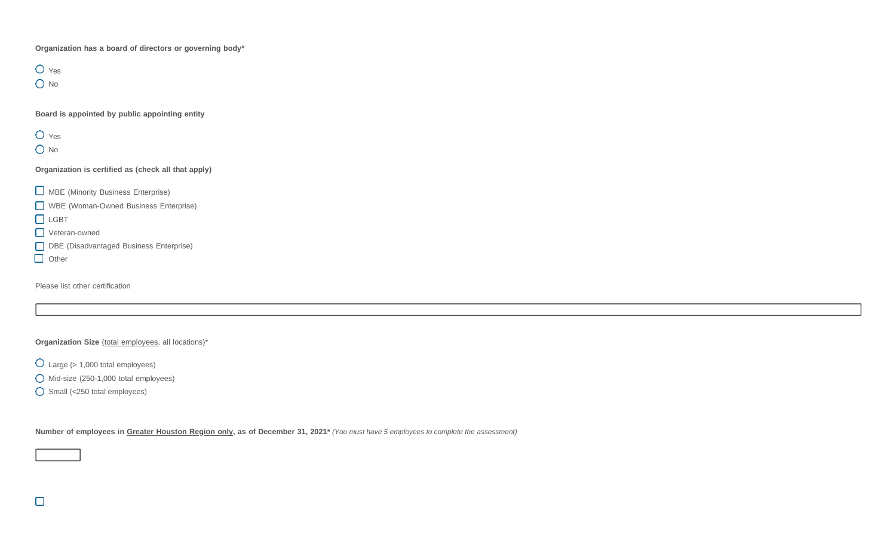**Organization has a board of directors or governing body\***

O Yes O No

**Board is appointed by public appointing entity**

O Yes O No

**Organization is certified as (check all that apply)**

**C** MBE (Minority Business Enterprise)

WBE (Woman-Owned Business Enterprise)

**D** LGBT

Veteran-owned

DBE (Disadvantaged Business Enterprise)

Other

 $\Box$ 

Please list other certification

**Organization Size** (total employees, all locations)\*

Large (> 1,000 total employees)

Mid-size (250-1,000 total employees)

Small (<250 total employees)

Number of employees in Greater Houston Region only, as of December 31, 2021\* (You must have 5 employees to complete the assessment)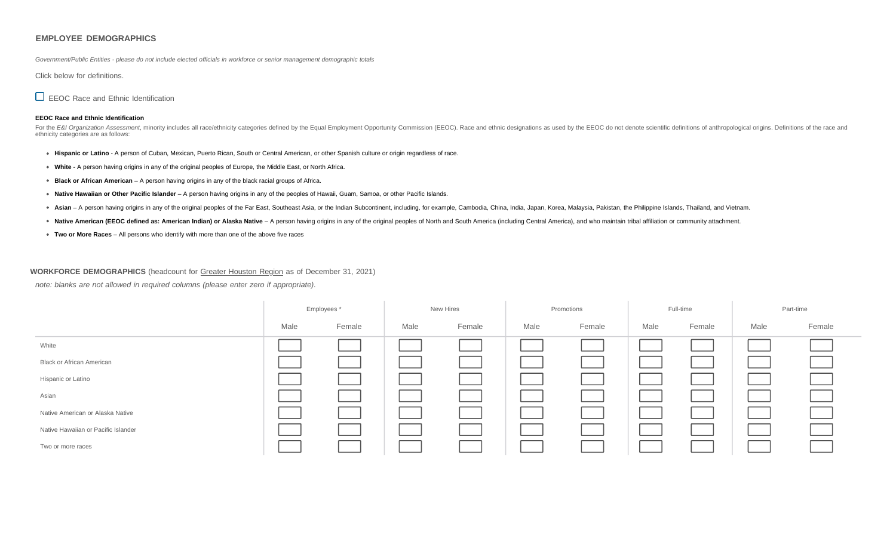#### **EMPLOYEE DEMOGRAPHICS**

Government/Public Entities - please do not include elected officials in workforce or senior management demographic totals

Click below for definitions.

EEOC Race and Ethnic Identification

#### **EEOC Race and Ethnic Identification**

For the E&I Organization Assessment, minority includes all race/ethnicity categories defined by the Equal Employment Opportunity Commission (EEOC). Race and ethnic designations as used by the EEOC do not denote scientific ethnicity categories are as follows:

- **Hispanic or Latino** A person of Cuban, Mexican, Puerto Rican, South or Central American, or other Spanish culture or origin regardless of race.
- **White** A person having origins in any of the original peoples of Europe, the Middle East, or North Africa.
- **Black or African American** A person having origins in any of the black racial groups of Africa.
- **Native Hawaiian or Other Pacific Islander** A person having origins in any of the peoples of Hawaii, Guam, Samoa, or other Pacific Islands.
- \* Asian A person having origins in any of the original peoples of the Far East, Southeast Asia, or the Indian Subcontinent, including, for example, Cambodia, China, India, Japan, Korea, Malaysia, Pakistan, the Philippine
- \* Native American (EEOC defined as: American Indian) or Alaska Native A person having origins in any of the original peoples of North and South America (including Central America), and who maintain tribal affiliation or
- **Two or More Races** All persons who identify with more than one of the above five races

#### **WORKFORCE DEMOGRAPHICS** (headcount for Greater Houston Region as of December 31, 2021)

*note: blanks are not allowed in required columns (please enter zero if appropriate).*

|                                     | Employees * |        | New Hires |        | Promotions |        | Full-time |        |      | Part-time |
|-------------------------------------|-------------|--------|-----------|--------|------------|--------|-----------|--------|------|-----------|
|                                     | Male        | Female | Male      | Female | Male       | Female | Male      | Female | Male | Female    |
| White                               |             |        |           |        |            |        |           |        |      |           |
| <b>Black or African American</b>    |             |        |           |        |            |        |           |        |      |           |
| Hispanic or Latino                  |             |        |           |        |            |        |           |        |      |           |
| Asian                               |             |        |           |        |            |        |           |        |      |           |
| Native American or Alaska Native    |             |        |           |        |            |        |           |        |      |           |
| Native Hawaiian or Pacific Islander |             |        |           |        |            |        |           |        |      |           |
| Two or more races                   |             |        |           |        |            |        |           |        |      |           |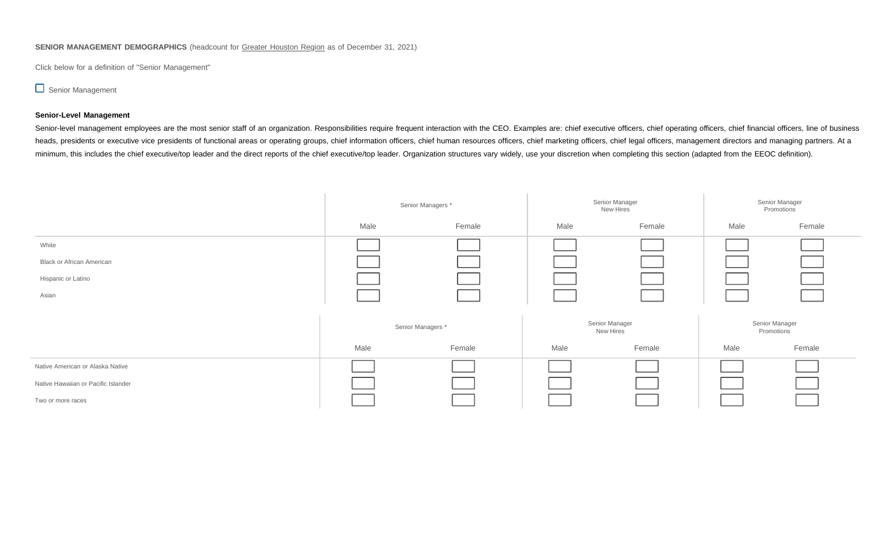# **SENIOR MANAGEMENT DEMOGRAPHICS** (headcount for Greater Houston Region as of December 31, 2021)

Click below for a definition of "Senior Management"

# Senior Management

## **Senior-Level Management**

Senior-level management employees are the most senior staff of an organization. Responsibilities require frequent interaction with the CEO. Examples are: chief executive officers, chief operating officers, chief financial heads, presidents or executive vice presidents of functional areas or operating groups, chief information officers, chief human resources officers, chief marketing officers, chief legal officers, management directors and m minimum, this includes the chief executive/top leader and the direct reports of the chief executive/top leader. Organization structures vary widely, use your discretion when completing this section (adapted from the EEOC d

|                                     |      | Senior Managers * |      | Senior Manager<br>New Hires | Senior Manager<br>Promotions |        |  |
|-------------------------------------|------|-------------------|------|-----------------------------|------------------------------|--------|--|
|                                     | Male | Female            | Male | Female                      | Male                         | Female |  |
| White                               |      |                   |      |                             |                              |        |  |
| <b>Black or African American</b>    |      |                   |      |                             |                              |        |  |
| Hispanic or Latino                  |      |                   |      |                             |                              |        |  |
| Asian                               |      |                   |      |                             |                              |        |  |
|                                     |      | Senior Managers * |      | Senior Manager<br>New Hires | Senior Manager<br>Promotions |        |  |
|                                     | Male | Female            | Male | Female                      | Male                         | Female |  |
| Native American or Alaska Native    |      |                   |      |                             |                              |        |  |
| Native Hawaiian or Pacific Islander |      |                   |      |                             |                              |        |  |
| Two or more races                   |      |                   |      |                             |                              |        |  |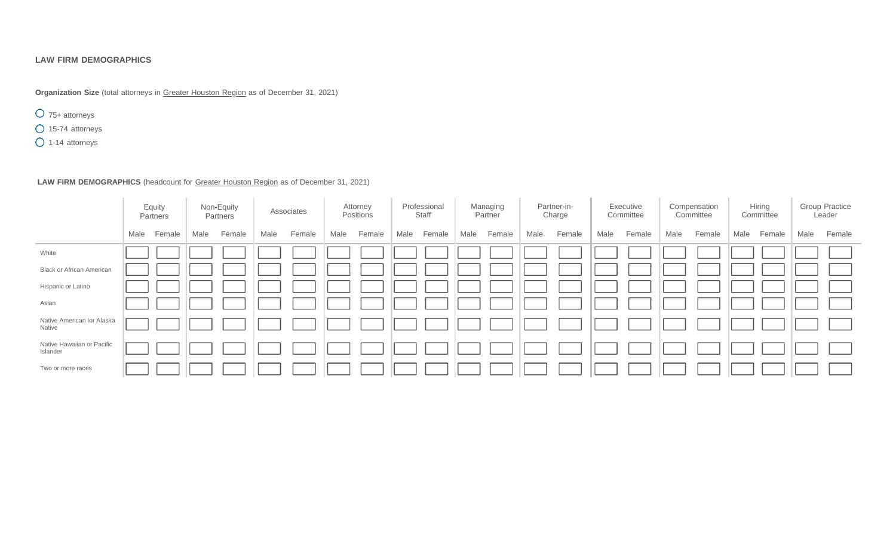# **LAW FIRM DEMOGRAPHICS**

**Organization Size** (total attorneys in Greater Houston Region as of December 31, 2021)

75+ attorneys

15-74 attorneys

1-14 attorneys

# **LAW FIRM DEMOGRAPHICS** (headcount for Greater Houston Region as of December 31, 2021)

|                                        |      | Equity<br>Partners |      | Non-Equity<br>Partners |      | Associates |      | Attorney<br>Positions |      | Professional<br>Staff |      | Managing<br>Partner |      | Partner-in-<br>Charge |      | Executive<br>Committee |      | Compensation<br>Committee |      | Hiring<br>Committee |      | <b>Group Practice</b><br>Leader |
|----------------------------------------|------|--------------------|------|------------------------|------|------------|------|-----------------------|------|-----------------------|------|---------------------|------|-----------------------|------|------------------------|------|---------------------------|------|---------------------|------|---------------------------------|
|                                        | Male | Female             | Male | Female                 | Male | Female     | Male | Female                | Male | Female                | Male | Female              | Male | Female                | Male | Female                 | Male | Female                    | Male | Female              | Male | Female                          |
| White                                  |      |                    |      |                        |      |            |      |                       |      |                       |      |                     |      |                       |      |                        |      |                           |      |                     |      |                                 |
| <b>Black or African American</b>       |      |                    |      |                        |      |            |      |                       |      |                       |      |                     |      |                       |      |                        |      |                           |      |                     |      |                                 |
| Hispanic or Latino                     |      |                    |      |                        |      |            |      |                       |      |                       |      |                     |      |                       |      |                        |      |                           |      |                     |      |                                 |
| Asian                                  |      |                    |      |                        |      |            |      |                       |      |                       |      |                     |      |                       |      |                        |      |                           |      |                     |      |                                 |
| Native American Ior Alaska<br>Native   |      |                    |      |                        |      |            |      |                       |      |                       |      |                     |      |                       |      |                        |      |                           |      |                     |      |                                 |
| Native Hawaiian or Pacific<br>Islander |      |                    |      |                        |      |            |      |                       |      |                       |      |                     |      |                       |      |                        |      |                           |      |                     |      |                                 |
| Two or more races                      |      |                    |      |                        |      |            |      |                       |      |                       |      |                     |      |                       |      |                        |      |                           |      |                     |      |                                 |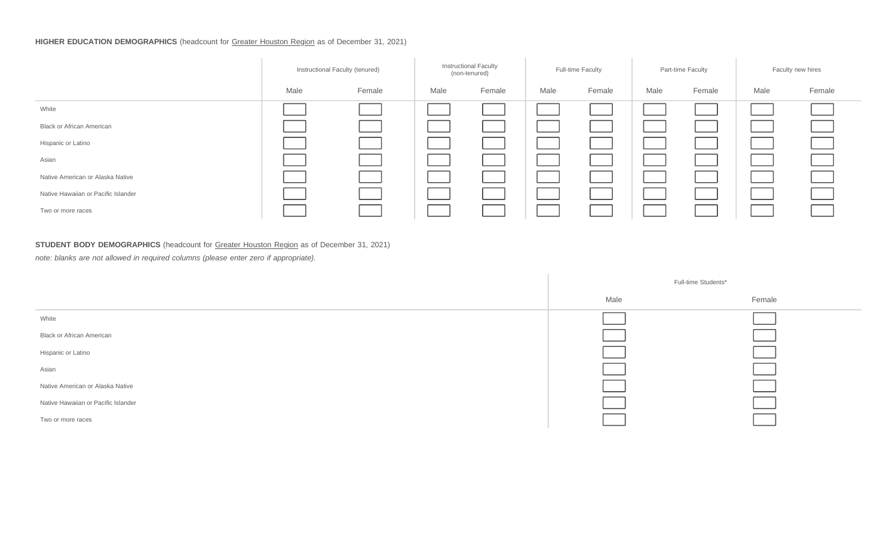# **HIGHER EDUCATION DEMOGRAPHICS** (headcount for Greater Houston Region as of December 31, 2021)

|                                     | Instructional Faculty (tenured) |        |      | <b>Instructional Faculty</b><br>(non-tenured) |      | <b>Full-time Faculty</b> | Part-time Faculty |        | Faculty new hires |        |
|-------------------------------------|---------------------------------|--------|------|-----------------------------------------------|------|--------------------------|-------------------|--------|-------------------|--------|
|                                     | Male                            | Female | Male | Female                                        | Male | Female                   | Male              | Female | Male              | Female |
| White                               |                                 |        |      |                                               |      |                          |                   |        |                   |        |
| <b>Black or African American</b>    |                                 |        |      |                                               |      |                          |                   |        |                   |        |
| Hispanic or Latino                  |                                 |        |      |                                               |      |                          |                   |        |                   |        |
| Asian                               |                                 |        |      |                                               |      |                          |                   |        |                   |        |
| Native American or Alaska Native    |                                 |        |      |                                               |      |                          |                   |        |                   |        |
| Native Hawaiian or Pacific Islander |                                 |        |      |                                               |      |                          |                   |        |                   |        |
| Two or more races                   |                                 |        |      |                                               |      |                          |                   |        |                   |        |

# **STUDENT BODY DEMOGRAPHICS** (headcount for Greater Houston Region as of December 31, 2021)

*note: blanks are not allowed in required columns (please enter zero if appropriate).*

|                                     |      | Full-time Students* |
|-------------------------------------|------|---------------------|
|                                     | Male | Female              |
| White                               |      |                     |
| <b>Black or African American</b>    |      |                     |
| Hispanic or Latino                  |      |                     |
| Asian                               |      |                     |
| Native American or Alaska Native    |      |                     |
| Native Hawaiian or Pacific Islander |      |                     |
| Two or more races                   |      |                     |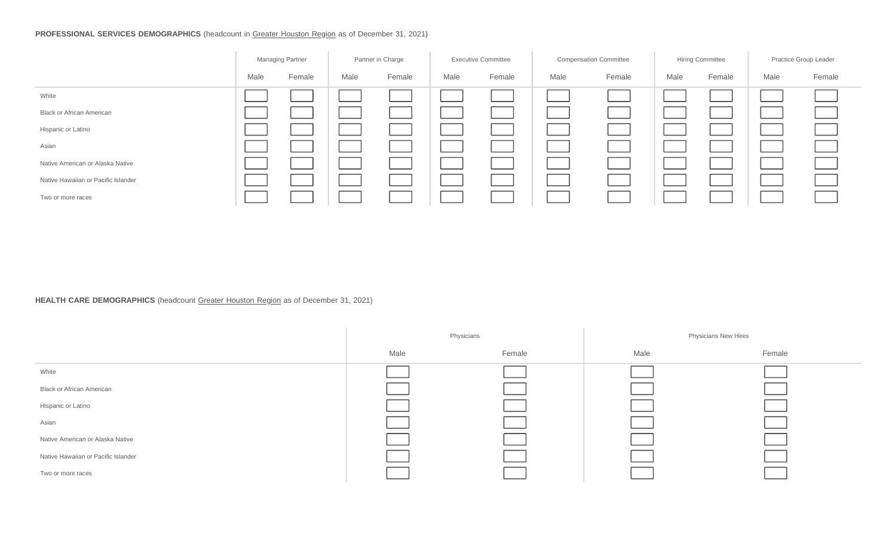# **PROFESSIONAL SERVICES DEMOGRAPHICS** (headcount in Greater Houston Region as of December 31, 2021)

|                                     | Managing Partner |        | Partner in Charge |        | <b>Executive Committee</b> |        | <b>Compensation Committee</b> |        | Hiring Committee |        | Practice Group Leader |        |
|-------------------------------------|------------------|--------|-------------------|--------|----------------------------|--------|-------------------------------|--------|------------------|--------|-----------------------|--------|
|                                     | Male             | Female | Male              | Female | Male                       | Female | Male                          | Female | Male             | Female | Male                  | Female |
| White                               |                  |        |                   |        |                            |        |                               |        |                  |        |                       |        |
| <b>Black or African American</b>    |                  |        |                   |        |                            |        |                               |        |                  |        |                       |        |
| Hispanic or Latino                  |                  |        |                   |        |                            |        |                               |        |                  |        |                       |        |
| Asian                               |                  |        |                   |        |                            |        |                               |        |                  |        |                       |        |
| Native American or Alaska Native    |                  |        |                   |        |                            |        |                               |        |                  |        |                       |        |
| Native Hawaiian or Pacific Islander |                  |        |                   |        |                            |        |                               |        |                  |        |                       |        |
| Two or more races                   |                  |        |                   |        |                            |        |                               |        |                  |        |                       |        |

# **HEALTH CARE DEMOGRAPHICS** (headcount Greater Houston Region as of December 31, 2021)

|                                     |      | Physicians |      | <b>Physicians New Hires</b> |
|-------------------------------------|------|------------|------|-----------------------------|
|                                     | Male | Female     | Male | Female                      |
| White                               |      |            |      |                             |
| <b>Black or African American</b>    |      |            |      |                             |
| Hispanic or Latino                  |      |            |      |                             |
| Asian                               |      |            |      |                             |
| Native American or Alaska Native    |      |            |      |                             |
| Native Hawaiian or Pacific Islander |      |            |      |                             |
| Two or more races                   |      |            |      |                             |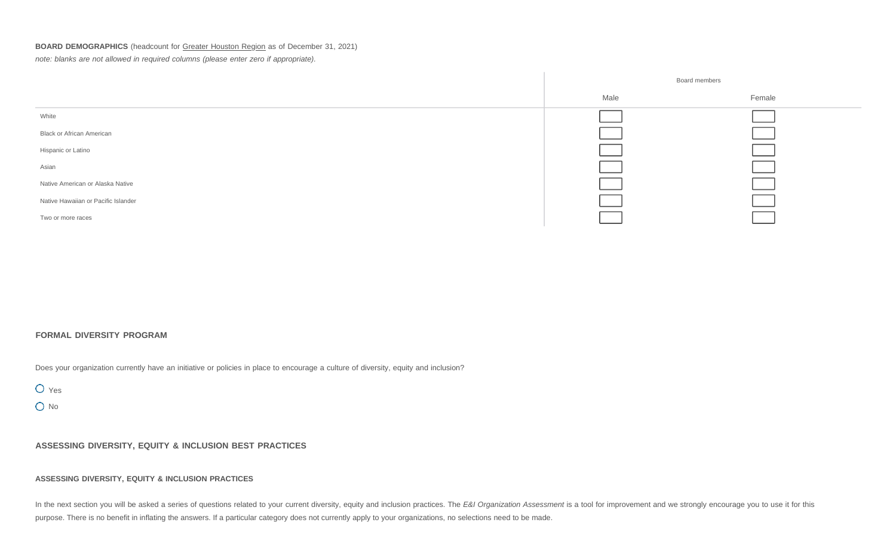# **BOARD DEMOGRAPHICS** (headcount for Greater Houston Region as of December 31, 2021)

*note: blanks are not allowed in required columns (please enter zero if appropriate).*



## **FORMAL DIVERSITY PROGRAM**

Does your organization currently have an initiative or policies in place to encourage a culture of diversity, equity and inclusion?

O Yes

O No

**ASSESSING DIVERSITY, EQUITY & INCLUSION BEST PRACTICES**

#### **ASSESSING DIVERSITY, EQUITY & INCLUSION PRACTICES**

In the next section you will be asked a series of questions related to your current diversity, equity and inclusion practices. The E&I Organization Assessment is a tool for improvement and we strongly encourage you to use purpose. There is no benefit in inflating the answers. If a particular category does not currently apply to your organizations, no selections need to be made.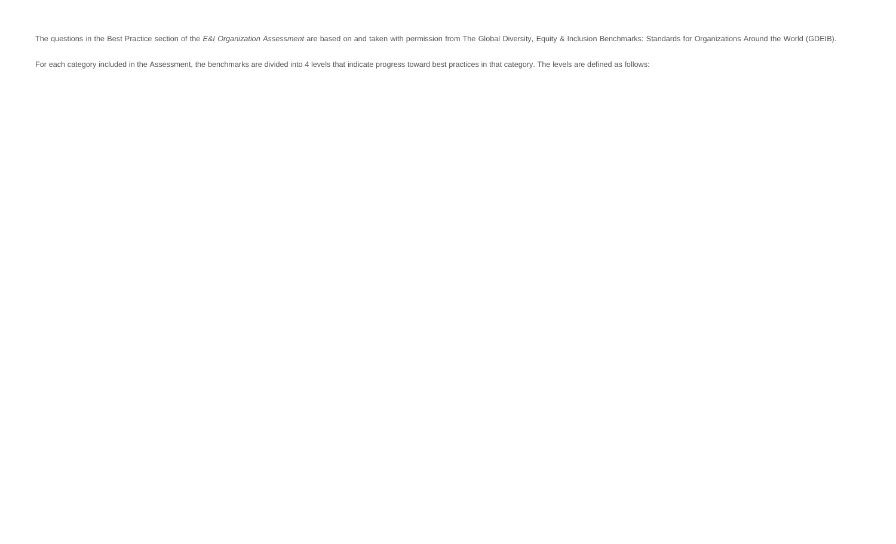The questions in the Best Practice section of the E&I Organization Assessment are based on and taken with permission from The Global Diversity, Equity & Inclusion Benchmarks: Standards for Organizations Around the World (G

For each category included in the Assessment, the benchmarks are divided into 4 levels that indicate progress toward best practices in that category. The levels are defined as follows: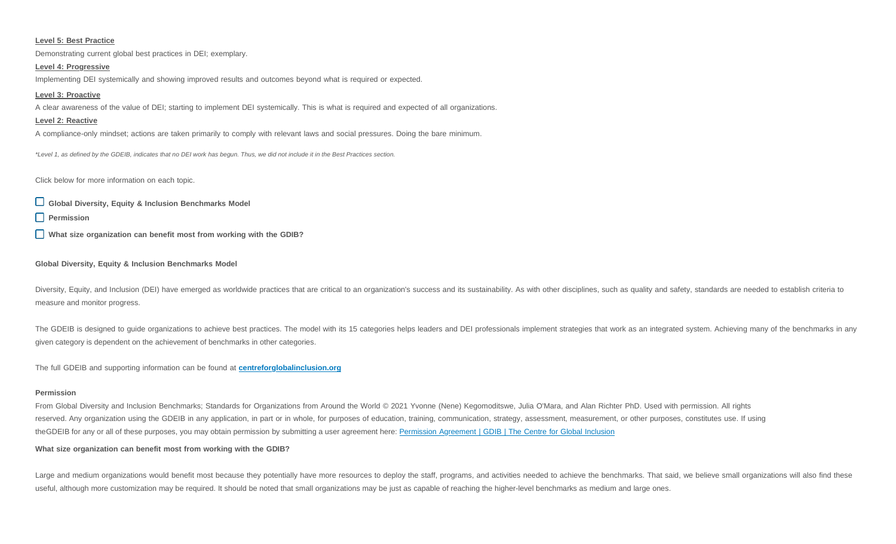#### **Level 5: Best Practice**

Demonstrating current global best practices in DEI; exemplary.

#### **Level 4: Progressive**

Implementing DEI systemically and showing improved results and outcomes beyond what is required or expected.

#### **Level 3: Proactive**

A clear awareness of the value of DEI; starting to implement DEI systemically. This is what is required and expected of all organizations.

#### **Level 2: Reactive**

A compliance-only mindset; actions are taken primarily to comply with relevant laws and social pressures. Doing the bare minimum.

\*Level 1, as defined by the GDEIB, indicates that no DEI work has begun. Thus, we did not include it in the Best Practices section.

Click below for more information on each topic.

**Global Diversity, Equity & Inclusion Benchmarks Model**

**Permission**

**What size organization can benefit most from working with the GDIB?**

#### **Global Diversity, Equity & Inclusion Benchmarks Model**

Diversity, Equity, and Inclusion (DEI) have emerged as worldwide practices that are critical to an organization's success and its sustainability. As with other disciplines, such as quality and safety, standards are needed measure and monitor progress.

The GDEIB is designed to guide organizations to achieve best practices. The model with its 15 categories helps leaders and DEI professionals implement strategies that work as an integrated system. Achieving many of the ben given category is dependent on the achievement of benchmarks in other categories.

The full GDEIB and supporting information can be found at **[centreforglobalinclusion.org](https://centreforglobalinclusion.org/)**

#### **Permission**

From Global Diversity and Inclusion Benchmarks; Standards for Organizations from Around the World © 2021 Yvonne (Nene) Kegomoditswe, Julia O'Mara, and Alan Richter PhD. Used with permission. All rights reserved. Any organization using the GDEIB in any application, in part or in whole, for purposes of education, training, communication, strategy, assessment, measurement, or other purposes, constitutes use. If using theGDEIB for any or all of these purposes, you may obtain permission by submitting a user agreement here: [Permission](https://centreforglobalinclusion.org/permission-agreement/) Agreement | GDIB | The Centre for Global Inclusion

#### **What size organization can benefit most from working with the GDIB?**

Large and medium organizations would benefit most because they potentially have more resources to deploy the staff, programs, and activities needed to achieve the benchmarks. That said, we believe small organizations will useful, although more customization may be required. It should be noted that small organizations may be just as capable of reaching the higher-level benchmarks as medium and large ones.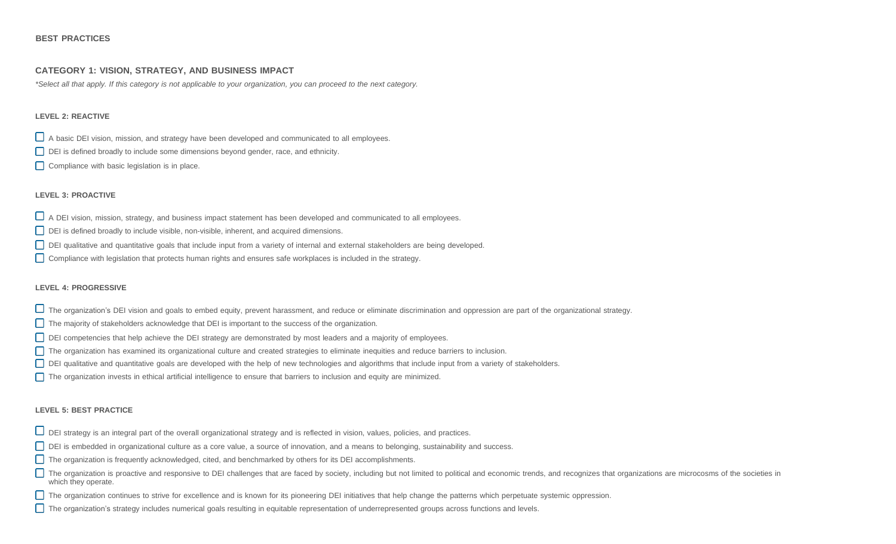## **BEST PRACTICES**

## **CATEGORY 1: VISION, STRATEGY, AND BUSINESS IMPACT**

\*Select all that apply. If this category is not applicable to your organization, you can proceed to the next category.

### **LEVEL 2: REACTIVE**

A basic DEI vision, mission, and strategy have been developed and communicated to all employees.

- DEI is defined broadly to include some dimensions beyond gender, race, and ethnicity.
- Compliance with basic legislation is in place.

### **LEVEL 3: PROACTIVE**

- A DEI vision, mission, strategy, and business impact statement has been developed and communicated to all employees.
- DEI is defined broadly to include visible, non-visible, inherent, and acquired dimensions.
- DEI qualitative and quantitative goals that include input from a variety of internal and external stakeholders are being developed.
- Compliance with legislation that protects human rights and ensures safe workplaces is included in the strategy.

### **LEVEL 4: PROGRESSIVE**

- The organization's DEI vision and goals to embed equity, prevent harassment, and reduce or eliminate discrimination and oppression are part of the organizational strategy.
- The majority of stakeholders acknowledge that DEI is important to the success of the organization.
- DEI competencies that help achieve the DEI strategy are demonstrated by most leaders and a majority of employees.
- The organization has examined its organizational culture and created strategies to eliminate inequities and reduce barriers to inclusion.
- DEI qualitative and quantitative goals are developed with the help of new technologies and algorithms that include input from a variety of stakeholders.
- The organization invests in ethical artificial intelligence to ensure that barriers to inclusion and equity are minimized.

- $\Box$  DEI strategy is an integral part of the overall organizational strategy and is reflected in vision, values, policies, and practices.
- DEI is embedded in organizational culture as a core value, a source of innovation, and a means to belonging, sustainability and success.
- The organization is frequently acknowledged, cited, and benchmarked by others for its DEI accomplishments.
- The organization is proactive and responsive to DEI challenges that are faced by society, including but not limited to political and economic trends, and recognizes that organizations are microcosms of the societies in which they operate.
- The organization continues to strive for excellence and is known for its pioneering DEI initiatives that help change the patterns which perpetuate systemic oppression.
- The organization's strategy includes numerical goals resulting in equitable representation of underrepresented groups across functions and levels.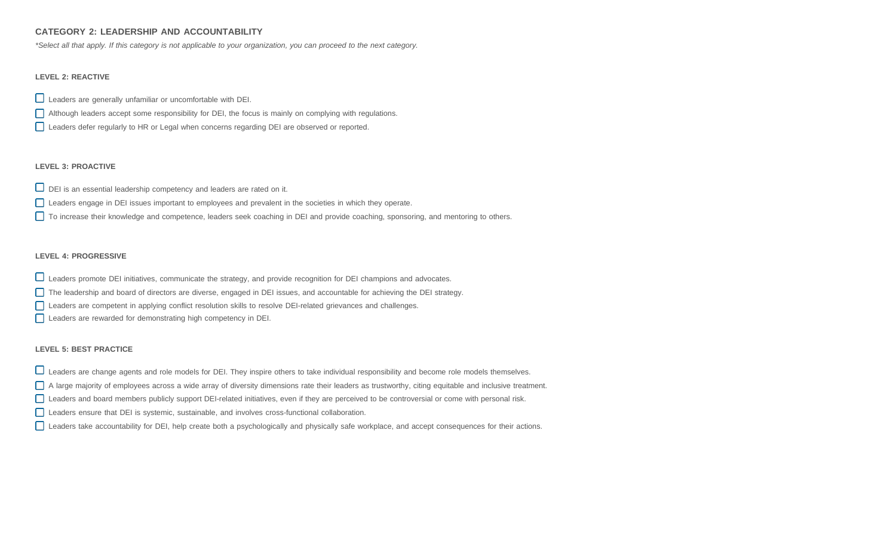# **CATEGORY 2: LEADERSHIP AND ACCOUNTABILITY**

\*Select all that apply. If this category is not applicable to your organization, you can proceed to the next category.

## **LEVEL 2: REACTIVE**

- Leaders are generally unfamiliar or uncomfortable with DEI.
- Although leaders accept some responsibility for DEI, the focus is mainly on complying with regulations.
- Leaders defer regularly to HR or Legal when concerns regarding DEI are observed or reported.

## **LEVEL 3: PROACTIVE**

- $\Box$  DEI is an essential leadership competency and leaders are rated on it.
- Leaders engage in DEI issues important to employees and prevalent in the societies in which they operate.
- □ To increase their knowledge and competence, leaders seek coaching in DEI and provide coaching, sponsoring, and mentoring to others.

# **LEVEL 4: PROGRESSIVE**

- Leaders promote DEI initiatives, communicate the strategy, and provide recognition for DEI champions and advocates.
- The leadership and board of directors are diverse, engaged in DEI issues, and accountable for achieving the DEI strategy.
- Leaders are competent in applying conflict resolution skills to resolve DEI-related grievances and challenges.
- Leaders are rewarded for demonstrating high competency in DEI.

- □ Leaders are change agents and role models for DEI. They inspire others to take individual responsibility and become role models themselves.
- A large majority of employees across a wide array of diversity dimensions rate their leaders as trustworthy, citing equitable and inclusive treatment.
- Leaders and board members publicly support DEI-related initiatives, even if they are perceived to be controversial or come with personal risk.
- Leaders ensure that DEI is systemic, sustainable, and involves cross-functional collaboration.
- Leaders take accountability for DEI, help create both a psychologically and physically safe workplace, and accept consequences for their actions.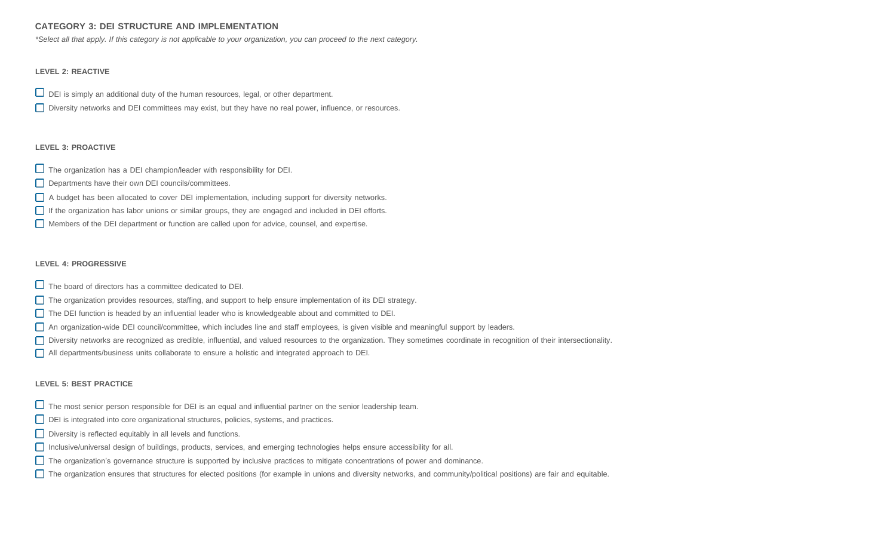# **CATEGORY 3: DEI STRUCTURE AND IMPLEMENTATION**

\*Select all that apply. If this category is not applicable to your organization, you can proceed to the next category.

## **LEVEL 2: REACTIVE**

- $\Box$  DEI is simply an additional duty of the human resources, legal, or other department.
- Diversity networks and DEI committees may exist, but they have no real power, influence, or resources.

## **LEVEL 3: PROACTIVE**

- $\Box$  The organization has a DEI champion/leader with responsibility for DEI.
- Departments have their own DEI councils/committees.
- A budget has been allocated to cover DEI implementation, including support for diversity networks.
- If the organization has labor unions or similar groups, they are engaged and included in DEI efforts.
- Members of the DEI department or function are called upon for advice, counsel, and expertise.

### **LEVEL 4: PROGRESSIVE**

- $\Box$  The board of directors has a committee dedicated to DEI.
- The organization provides resources, staffing, and support to help ensure implementation of its DEI strategy.
- The DEI function is headed by an influential leader who is knowledgeable about and committed to DEI.
- An organization-wide DEI council/committee, which includes line and staff employees, is given visible and meaningful support by leaders.
- Diversity networks are recognized as credible, influential, and valued resources to the organization. They sometimes coordinate in recognition of their intersectionality.
- All departments/business units collaborate to ensure a holistic and integrated approach to DEI.

- $\Box$  The most senior person responsible for DEI is an equal and influential partner on the senior leadership team.
- DEI is integrated into core organizational structures, policies, systems, and practices.
- Diversity is reflected equitably in all levels and functions.
- Inclusive/universal design of buildings, products, services, and emerging technologies helps ensure accessibility for all.
- The organization's governance structure is supported by inclusive practices to mitigate concentrations of power and dominance.
- The organization ensures that structures for elected positions (for example in unions and diversity networks, and community/political positions) are fair and equitable.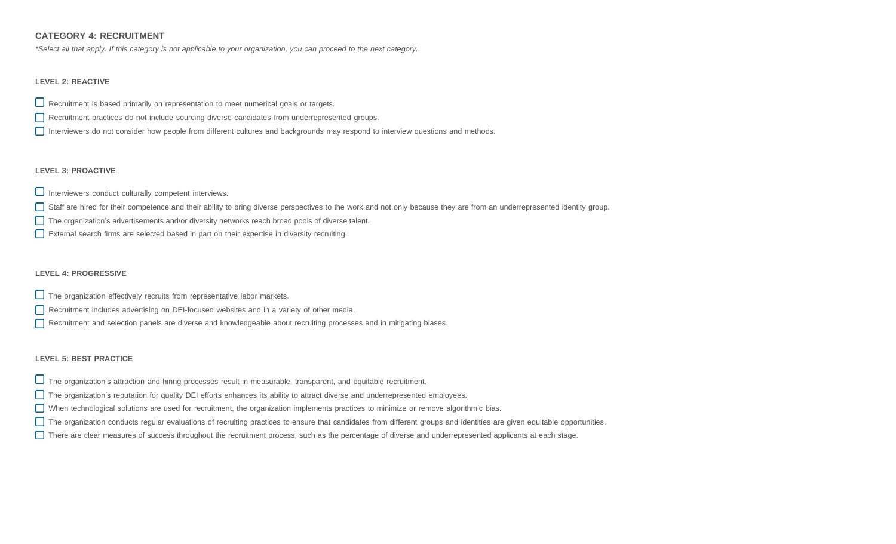# **CATEGORY 4: RECRUITMENT**

\*Select all that apply. If this category is not applicable to your organization, you can proceed to the next category.

# **LEVEL 2: REACTIVE**

- $\square$  Recruitment is based primarily on representation to meet numerical goals or targets.
- Recruitment practices do not include sourcing diverse candidates from underrepresented groups.
- Interviewers do not consider how people from different cultures and backgrounds may respond to interview questions and methods.

# **LEVEL 3: PROACTIVE**

- $\Box$  Interviewers conduct culturally competent interviews.
- Staff are hired for their competence and their ability to bring diverse perspectives to the work and not only because they are from an underrepresented identity group.
- The organization's advertisements and/or diversity networks reach broad pools of diverse talent.
- External search firms are selected based in part on their expertise in diversity recruiting.

# **LEVEL 4: PROGRESSIVE**

- $\Box$  The organization effectively recruits from representative labor markets.
- Recruitment includes advertising on DEI-focused websites and in a variety of other media.
- Recruitment and selection panels are diverse and knowledgeable about recruiting processes and in mitigating biases.

- The organization's attraction and hiring processes result in measurable, transparent, and equitable recruitment.
- The organization's reputation for quality DEI efforts enhances its ability to attract diverse and underrepresented employees.
- When technological solutions are used for recruitment, the organization implements practices to minimize or remove algorithmic bias.
- The organization conducts regular evaluations of recruiting practices to ensure that candidates from different groups and identities are given equitable opportunities.
- There are clear measures of success throughout the recruitment process, such as the percentage of diverse and underrepresented applicants at each stage.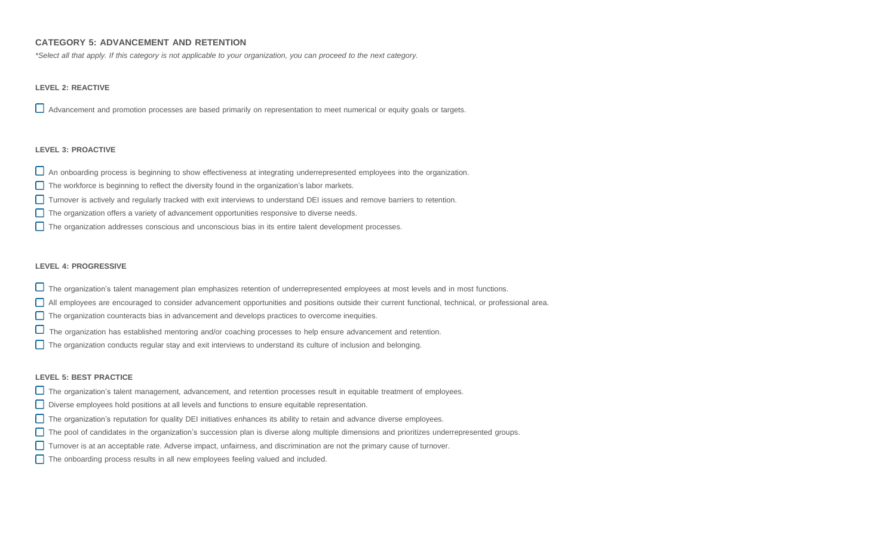# **CATEGORY 5: ADVANCEMENT AND RETENTION**

\*Select all that apply. If this category is not applicable to your organization, you can proceed to the next category.

## **LEVEL 2: REACTIVE**

Advancement and promotion processes are based primarily on representation to meet numerical or equity goals or targets.

#### **LEVEL 3: PROACTIVE**

- $\Box$  An onboarding process is beginning to show effectiveness at integrating underrepresented employees into the organization.
- $\Box$  The workforce is beginning to reflect the diversity found in the organization's labor markets.
- Turnover is actively and regularly tracked with exit interviews to understand DEI issues and remove barriers to retention.
- The organization offers a variety of advancement opportunities responsive to diverse needs.
- The organization addresses conscious and unconscious bias in its entire talent development processes.

#### **LEVEL 4: PROGRESSIVE**

- The organization's talent management plan emphasizes retention of underrepresented employees at most levels and in most functions.
- All employees are encouraged to consider advancement opportunities and positions outside their current functional, technical, or professional area.
- The organization counteracts bias in advancement and develops practices to overcome inequities.
- The organization has established mentoring and/or coaching processes to help ensure advancement and retention.
- The organization conducts regular stay and exit interviews to understand its culture of inclusion and belonging.

- The organization's talent management, advancement, and retention processes result in equitable treatment of employees.
- Diverse employees hold positions at all levels and functions to ensure equitable representation.
- The organization's reputation for quality DEI initiatives enhances its ability to retain and advance diverse employees.
- The pool of candidates in the organization's succession plan is diverse along multiple dimensions and prioritizes underrepresented groups.
- Turnover is at an acceptable rate. Adverse impact, unfairness, and discrimination are not the primary cause of turnover.
- $\Box$  The onboarding process results in all new employees feeling valued and included.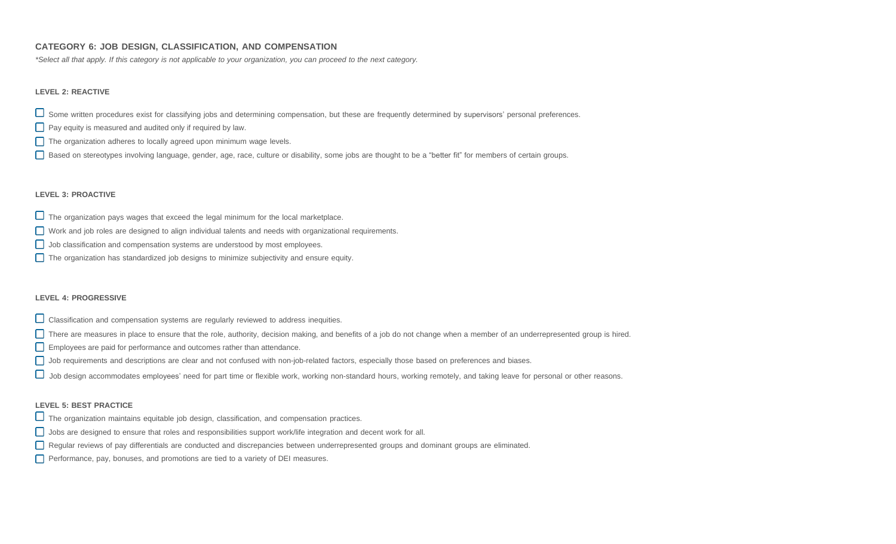# **CATEGORY 6: JOB DESIGN, CLASSIFICATION, AND COMPENSATION**

\*Select all that apply. If this category is not applicable to your organization, you can proceed to the next category.

# **LEVEL 2: REACTIVE**

Some written procedures exist for classifying jobs and determining compensation, but these are frequently determined by supervisors' personal preferences.

- **Pay equity is measured and audited only if required by law.**
- $\Box$  The organization adheres to locally agreed upon minimum wage levels.
- Based on stereotypes involving language, gender, age, race, culture or disability, some jobs are thought to be a "better fit" for members of certain groups.

### **LEVEL 3: PROACTIVE**

- $\Box$  The organization pays wages that exceed the legal minimum for the local marketplace.
- Work and job roles are designed to align individual talents and needs with organizational requirements.
- Job classification and compensation systems are understood by most employees.
- The organization has standardized job designs to minimize subjectivity and ensure equity.

### **LEVEL 4: PROGRESSIVE**

- $\Box$  Classification and compensation systems are regularly reviewed to address inequities.
- There are measures in place to ensure that the role, authority, decision making, and benefits of a job do not change when a member of an underrepresented group is hired.
- Employees are paid for performance and outcomes rather than attendance.
- Job requirements and descriptions are clear and not confused with non-job-related factors, especially those based on preferences and biases.
- $\Box$  Job design accommodates employees' need for part time or flexible work, working non-standard hours, working remotely, and taking leave for personal or other reasons.

- $\Box$  The organization maintains equitable job design, classification, and compensation practices.
- Jobs are designed to ensure that roles and responsibilities support work/life integration and decent work for all.
- Regular reviews of pay differentials are conducted and discrepancies between underrepresented groups and dominant groups are eliminated.
- Performance, pay, bonuses, and promotions are tied to a variety of DEI measures.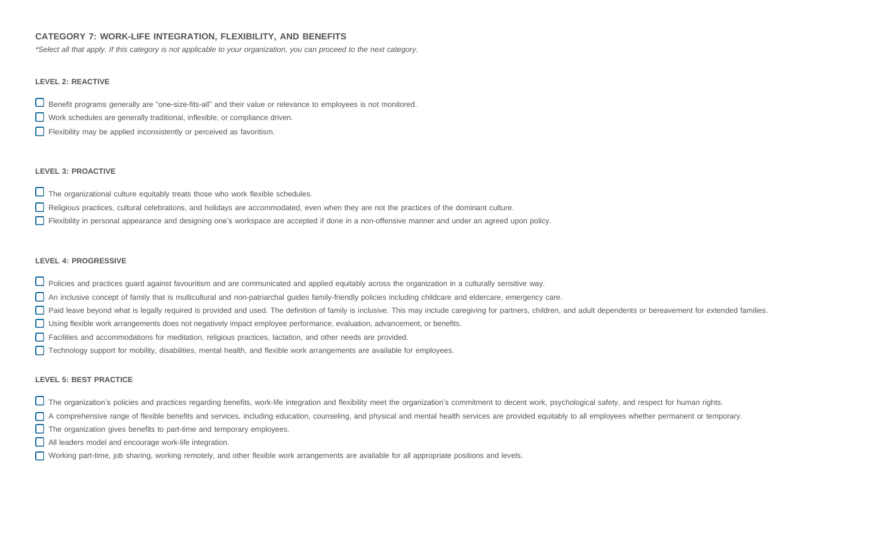# **CATEGORY 7: WORK-LIFE INTEGRATION, FLEXIBILITY, AND BENEFITS**

\*Select all that apply. If this category is not applicable to your organization, you can proceed to the next category.

## **LEVEL 2: REACTIVE**

Benefit programs generally are "one-size-fits-all" and their value or relevance to employees is not monitored.

- Work schedules are generally traditional, inflexible, or compliance driven.
- Flexibility may be applied inconsistently or perceived as favoritism.

# **LEVEL 3: PROACTIVE**

 $\Box$  The organizational culture equitably treats those who work flexible schedules.

- Religious practices, cultural celebrations, and holidays are accommodated, even when they are not the practices of the dominant culture.
- Flexibility in personal appearance and designing one's workspace are accepted if done in a non-offensive manner and under an agreed upon policy.

## **LEVEL 4: PROGRESSIVE**

- $\Box$  Policies and practices guard against favouritism and are communicated and applied equitably across the organization in a culturally sensitive way.
- An inclusive concept of family that is multicultural and non-patriarchal guides family-friendly policies including childcare and eldercare, emergency care.
- Paid leave beyond what is legally required is provided and used. The definition of family is inclusive. This may include caregiving for partners, children, and adult dependents or bereavement for extended families.
- Using flexible work arrangements does not negatively impact employee performance, evaluation, advancement, or benefits.
- Facilities and accommodations for meditation, religious practices, lactation, and other needs are provided.
- Technology support for mobility, disabilities, mental health, and flexible work arrangements are available for employees.

- $\Box$  The organization's policies and practices regarding benefits, work-life integration and flexibility meet the organization's commitment to decent work, psychological safety, and respect for human rights.
- □ A comprehensive range of flexible benefits and services, including education, counseling, and physical and mental health services are provided equitably to all employees whether permanent or temporary.
- The organization gives benefits to part-time and temporary employees.
- All leaders model and encourage work-life integration.
- Working part-time, job sharing, working remotely, and other flexible work arrangements are available for all appropriate positions and levels.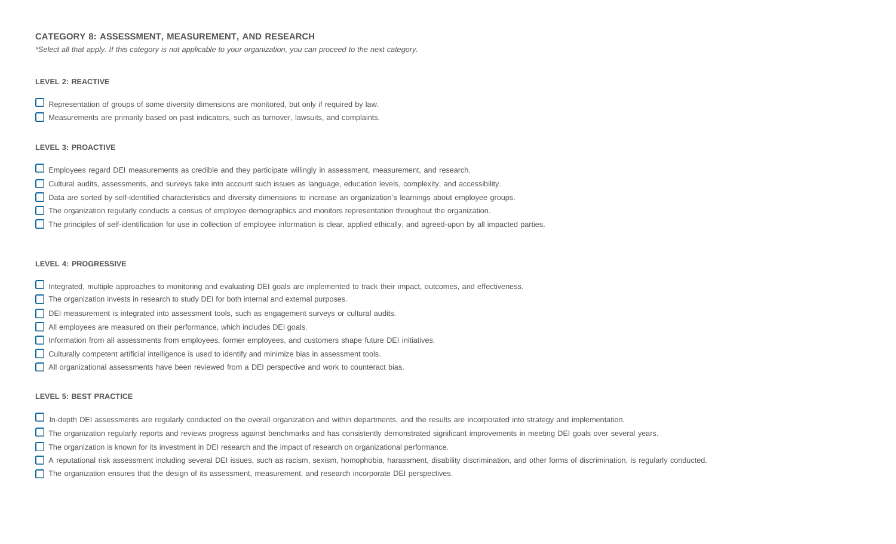# **CATEGORY 8: ASSESSMENT, MEASUREMENT, AND RESEARCH**

\*Select all that apply. If this category is not applicable to your organization, you can proceed to the next category.

# **LEVEL 2: REACTIVE**

 $\Box$  Representation of groups of some diversity dimensions are monitored, but only if required by law.

Measurements are primarily based on past indicators, such as turnover, lawsuits, and complaints.

# **LEVEL 3: PROACTIVE**

- $\Box$  Employees regard DEI measurements as credible and they participate willingly in assessment, measurement, and research.
- Cultural audits, assessments, and surveys take into account such issues as language, education levels, complexity, and accessibility.
- Data are sorted by self-identified characteristics and diversity dimensions to increase an organization's learnings about employee groups.
- The organization regularly conducts a census of employee demographics and monitors representation throughout the organization.
- The principles of self-identification for use in collection of employee information is clear, applied ethically, and agreed-upon by all impacted parties.

## **LEVEL 4: PROGRESSIVE**

- Integrated, multiple approaches to monitoring and evaluating DEI goals are implemented to track their impact, outcomes, and effectiveness.
- The organization invests in research to study DEI for both internal and external purposes.
- DEI measurement is integrated into assessment tools, such as engagement surveys or cultural audits.
- All employees are measured on their performance, which includes DEI goals.
- Information from all assessments from employees, former employees, and customers shape future DEI initiatives.
- Culturally competent artificial intelligence is used to identify and minimize bias in assessment tools.
- All organizational assessments have been reviewed from a DEI perspective and work to counteract bias.

- $\Box$  In-depth DEI assessments are regularly conducted on the overall organization and within departments, and the results are incorporated into strategy and implementation.
- The organization regularly reports and reviews progress against benchmarks and has consistently demonstrated significant improvements in meeting DEI goals over several years.
- The organization is known for its investment in DEI research and the impact of research on organizational performance.
- A reputational risk assessment including several DEI issues, such as racism, sexism, homophobia, harassment, disability discrimination, and other forms of discrimination, is regularly conducted.
- The organization ensures that the design of its assessment, measurement, and research incorporate DEI perspectives.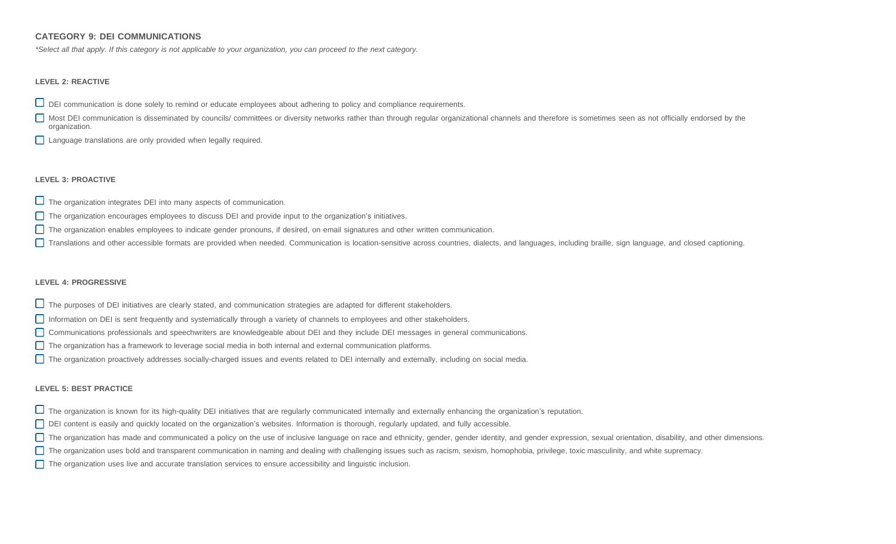# **CATEGORY 9: DEI COMMUNICATIONS**

\*Select all that apply. If this category is not applicable to your organization, you can proceed to the next category.

#### **LEVEL 2: REACTIVE**

- $\Box$  DEI communication is done solely to remind or educate employees about adhering to policy and compliance requirements.
- Most DEI communication is disseminated by councils/ committees or diversity networks rather than through regular organizational channels and therefore is sometimes seen as not officially endorsed by the organization.
- **Language translations are only provided when legally required.**

#### **LEVEL 3: PROACTIVE**

- $\Box$  The organization integrates DEI into many aspects of communication.
- The organization encourages employees to discuss DEI and provide input to the organization's initiatives.
- The organization enables employees to indicate gender pronouns, if desired, on email signatures and other written communication.
- Translations and other accessible formats are provided when needed. Communication is location-sensitive across countries, dialects, and languages, including braille, sign language, and closed captioning.

#### **LEVEL 4: PROGRESSIVE**

- The purposes of DEI initiatives are clearly stated, and communication strategies are adapted for different stakeholders.
- Information on DEI is sent frequently and systematically through a variety of channels to employees and other stakeholders.
- Communications professionals and speechwriters are knowledgeable about DEI and they include DEI messages in general communications.
- The organization has a framework to leverage social media in both internal and external communication platforms.
- The organization proactively addresses socially-charged issues and events related to DEI internally and externally, including on social media.

- $\Box$  The organization is known for its high-quality DEI initiatives that are regularly communicated internally and externally enhancing the organization's reputation.
- DEI content is easily and quickly located on the organization's websites. Information is thorough, regularly updated, and fully accessible.
- The organization has made and communicated a policy on the use of inclusive language on race and ethnicity, gender, gender identity, and gender expression, sexual orientation, disability, and other dimensions.
- The organization uses bold and transparent communication in naming and dealing with challenging issues such as racism, sexism, homophobia, privilege, toxic masculinity, and white supremacy.
- The organization uses live and accurate translation services to ensure accessibility and linguistic inclusion.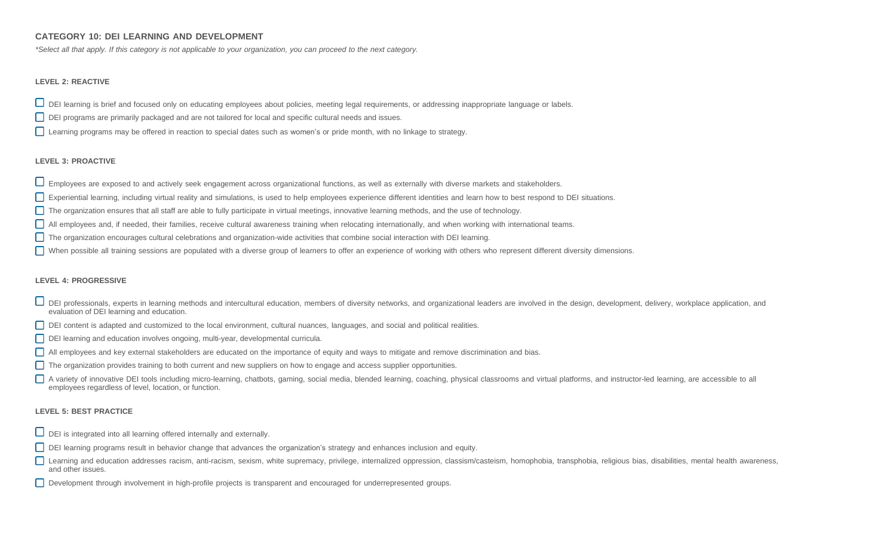# **CATEGORY 10: DEI LEARNING AND DEVELOPMENT**

\*Select all that apply. If this category is not applicable to your organization, you can proceed to the next category.

## **LEVEL 2: REACTIVE**

DEI learning is brief and focused only on educating employees about policies, meeting legal requirements, or addressing inappropriate language or labels.

- DEI programs are primarily packaged and are not tailored for local and specific cultural needs and issues.
- Learning programs may be offered in reaction to special dates such as women's or pride month, with no linkage to strategy.

## **LEVEL 3: PROACTIVE**

- Employees are exposed to and actively seek engagement across organizational functions, as well as externally with diverse markets and stakeholders.
- Experiential learning, including virtual reality and simulations, is used to help employees experience different identities and learn how to best respond to DEI situations.
- The organization ensures that all staff are able to fully participate in virtual meetings, innovative learning methods, and the use of technology.
- All employees and, if needed, their families, receive cultural awareness training when relocating internationally, and when working with international teams.
- The organization encourages cultural celebrations and organization-wide activities that combine social interaction with DEI learning.
- When possible all training sessions are populated with a diverse group of learners to offer an experience of working with others who represent different diversity dimensions.

### **LEVEL 4: PROGRESSIVE**

- DEI professionals, experts in learning methods and intercultural education, members of diversity networks, and organizational leaders are involved in the design, development, delivery, workplace application, and evaluation of DEI learning and education.
- DEI content is adapted and customized to the local environment, cultural nuances, languages, and social and political realities.
- DEI learning and education involves ongoing, multi-year, developmental curricula.
- All employees and key external stakeholders are educated on the importance of equity and ways to mitigate and remove discrimination and bias.
- The organization provides training to both current and new suppliers on how to engage and access supplier opportunities.
- A variety of innovative DEI tools including micro-learning, chatbots, gaming, social media, blended learning, coaching, physical classrooms and virtual platforms, and instructor-led learning, are accessible to all employees regardless of level, location, or function.

- $\Box$  DEI is integrated into all learning offered internally and externally.
- DEI learning programs result in behavior change that advances the organization's strategy and enhances inclusion and equity.
- Learning and education addresses racism, anti-racism, sexism, white supremacy, privilege, internalized oppression, classism/casteism, homophobia, transphobia, religious bias, disabilities, mental health awareness, and other issues.
- Development through involvement in high-profile projects is transparent and encouraged for underrepresented groups.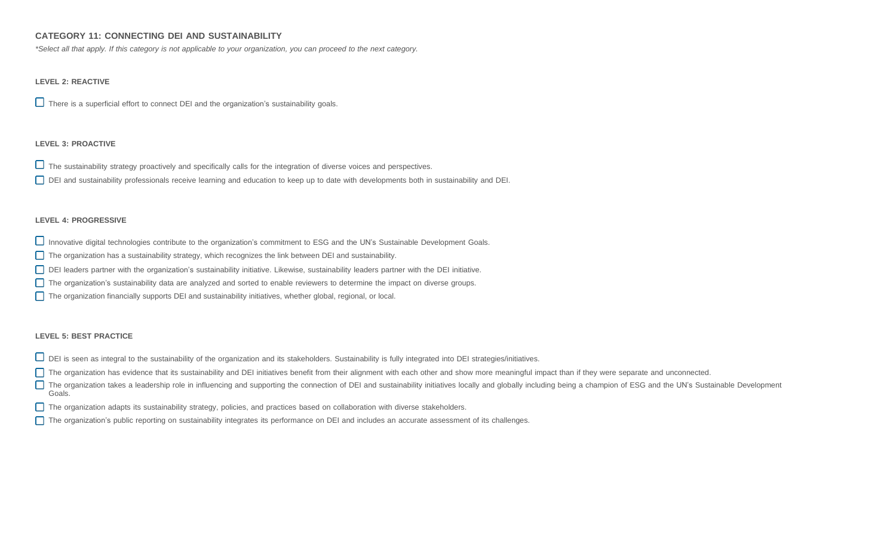# **CATEGORY 11: CONNECTING DEI AND SUSTAINABILITY**

\*Select all that apply. If this category is not applicable to your organization, you can proceed to the next category.

# **LEVEL 2: REACTIVE**

 $\Box$  There is a superficial effort to connect DEI and the organization's sustainability goals.

## **LEVEL 3: PROACTIVE**

 $\Box$  The sustainability strategy proactively and specifically calls for the integration of diverse voices and perspectives.

DEI and sustainability professionals receive learning and education to keep up to date with developments both in sustainability and DEI.

## **LEVEL 4: PROGRESSIVE**

Innovative digital technologies contribute to the organization's commitment to ESG and the UN's Sustainable Development Goals.

The organization has a sustainability strategy, which recognizes the link between DEI and sustainability.

DEI leaders partner with the organization's sustainability initiative. Likewise, sustainability leaders partner with the DEI initiative.

The organization's sustainability data are analyzed and sorted to enable reviewers to determine the impact on diverse groups.

The organization financially supports DEI and sustainability initiatives, whether global, regional, or local.

### **LEVEL 5: BEST PRACTICE**

 $\Box$  DEI is seen as integral to the sustainability of the organization and its stakeholders. Sustainability is fully integrated into DEI strategies/initiatives.

The organization has evidence that its sustainability and DEI initiatives benefit from their alignment with each other and show more meaningful impact than if they were separate and unconnected.

The organization takes a leadership role in influencing and supporting the connection of DEI and sustainability initiatives locally and globally including being a champion of ESG and the UN's Sustainable Development Goals.

- The organization adapts its sustainability strategy, policies, and practices based on collaboration with diverse stakeholders.
- The organization's public reporting on sustainability integrates its performance on DEI and includes an accurate assessment of its challenges.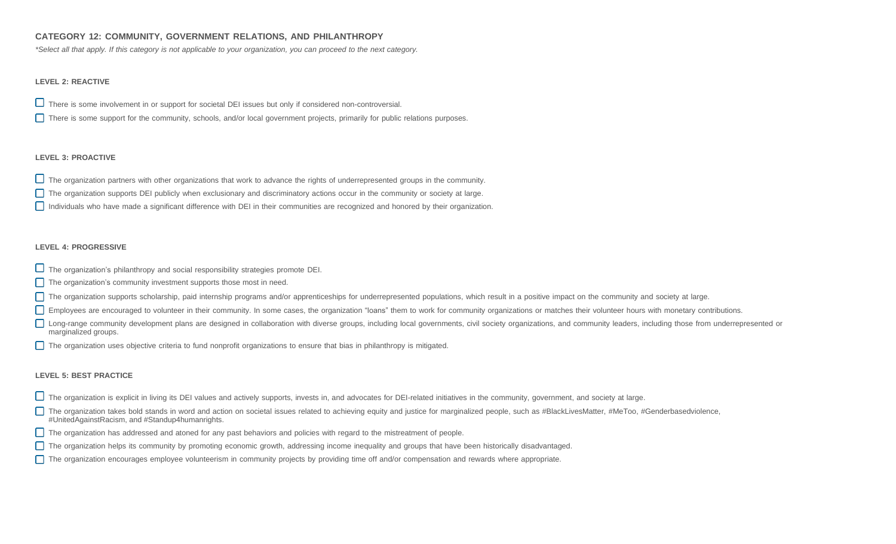# **CATEGORY 12: COMMUNITY, GOVERNMENT RELATIONS, AND PHILANTHROPY**

\*Select all that apply. If this category is not applicable to your organization, you can proceed to the next category.

# **LEVEL 2: REACTIVE**

- $\Box$  There is some involvement in or support for societal DEI issues but only if considered non-controversial.
- There is some support for the community, schools, and/or local government projects, primarily for public relations purposes.

# **LEVEL 3: PROACTIVE**

- The organization partners with other organizations that work to advance the rights of underrepresented groups in the community.
- The organization supports DEI publicly when exclusionary and discriminatory actions occur in the community or society at large.
- Individuals who have made a significant difference with DEI in their communities are recognized and honored by their organization.

## **LEVEL 4: PROGRESSIVE**

- $\Box$  The organization's philanthropy and social responsibility strategies promote DEI.
- $\Box$  The organization's community investment supports those most in need.
- The organization supports scholarship, paid internship programs and/or apprenticeships for underrepresented populations, which result in a positive impact on the community and society at large.
- Employees are encouraged to volunteer in their community. In some cases, the organization "loans" them to work for community organizations or matches their volunteer hours with monetary contributions.
- Long-range community development plans are designed in collaboration with diverse groups, including local governments, civil society organizations, and community leaders, including those from underrepresented or marginalized groups.
- The organization uses objective criteria to fund nonprofit organizations to ensure that bias in philanthropy is mitigated.

- The organization is explicit in living its DEI values and actively supports, invests in, and advocates for DEI-related initiatives in the community, government, and society at large.
- The organization takes bold stands in word and action on societal issues related to achieving equity and justice for marginalized people, such as #BlackLivesMatter, #MeToo, #Genderbasedviolence, #UnitedAgainstRacism, and #Standup4humanrights.
- The organization has addressed and atoned for any past behaviors and policies with regard to the mistreatment of people.
- The organization helps its community by promoting economic growth, addressing income inequality and groups that have been historically disadvantaged.
- The organization encourages employee volunteerism in community projects by providing time off and/or compensation and rewards where appropriate.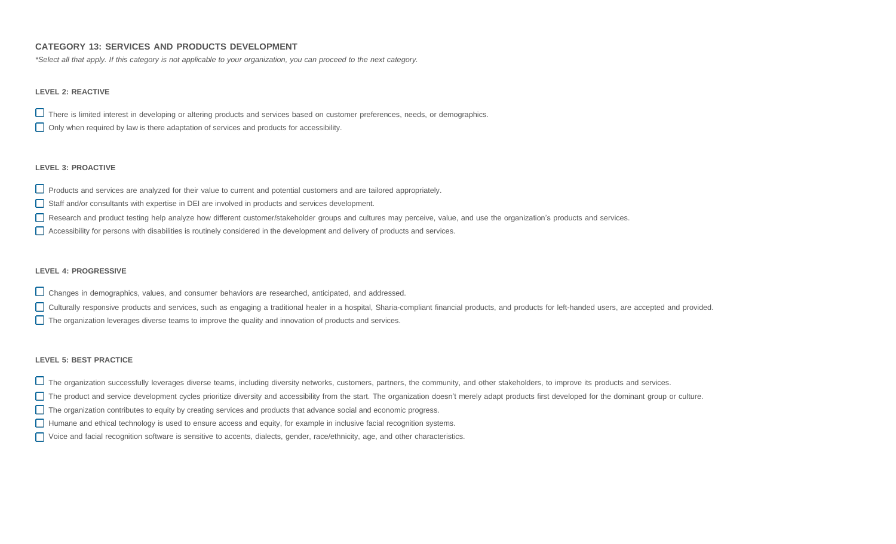# **CATEGORY 13: SERVICES AND PRODUCTS DEVELOPMENT**

\*Select all that apply. If this category is not applicable to your organization, you can proceed to the next category.

## **LEVEL 2: REACTIVE**

There is limited interest in developing or altering products and services based on customer preferences, needs, or demographics.

Only when required by law is there adaptation of services and products for accessibility.

### **LEVEL 3: PROACTIVE**

Products and services are analyzed for their value to current and potential customers and are tailored appropriately.

- Staff and/or consultants with expertise in DEI are involved in products and services development.
- Research and product testing help analyze how different customer/stakeholder groups and cultures may perceive, value, and use the organization's products and services.
- Accessibility for persons with disabilities is routinely considered in the development and delivery of products and services.

#### **LEVEL 4: PROGRESSIVE**

- Changes in demographics, values, and consumer behaviors are researched, anticipated, and addressed.
- □ Culturally responsive products and services, such as engaging a traditional healer in a hospital, Sharia-compliant financial products, and products for left-handed users, are accepted and provided.
- The organization leverages diverse teams to improve the quality and innovation of products and services.

- The organization successfully leverages diverse teams, including diversity networks, customers, partners, the community, and other stakeholders, to improve its products and services.
- The product and service development cycles prioritize diversity and accessibility from the start. The organization doesn't merely adapt products first developed for the dominant group or culture.
- The organization contributes to equity by creating services and products that advance social and economic progress.
- Humane and ethical technology is used to ensure access and equity, for example in inclusive facial recognition systems.
- Voice and facial recognition software is sensitive to accents, dialects, gender, race/ethnicity, age, and other characteristics.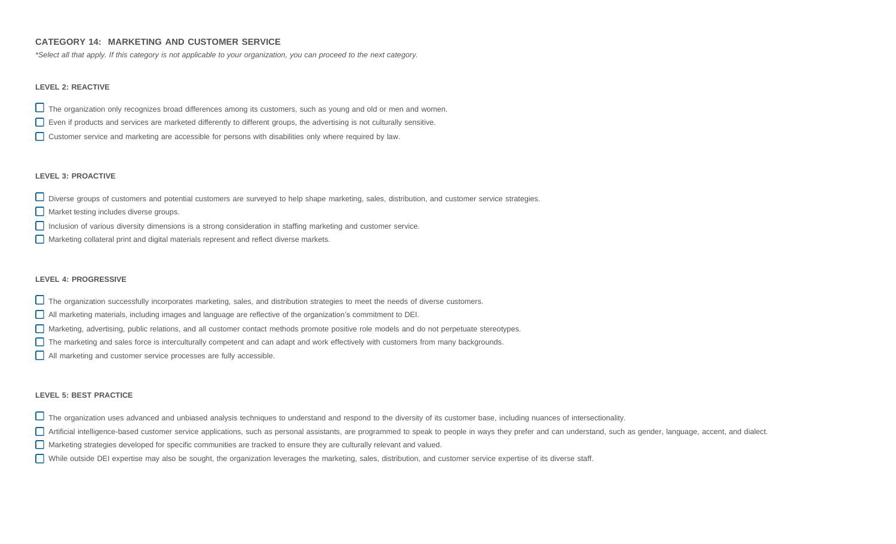# **CATEGORY 14: MARKETING AND CUSTOMER SERVICE**

\*Select all that apply. If this category is not applicable to your organization, you can proceed to the next category.

#### **LEVEL 2: REACTIVE**

 $\Box$  The organization only recognizes broad differences among its customers, such as young and old or men and women.

- Even if products and services are marketed differently to different groups, the advertising is not culturally sensitive.
- Customer service and marketing are accessible for persons with disabilities only where required by law.

#### **LEVEL 3: PROACTIVE**

Diverse groups of customers and potential customers are surveyed to help shape marketing, sales, distribution, and customer service strategies.

- Market testing includes diverse groups.
- Inclusion of various diversity dimensions is a strong consideration in staffing marketing and customer service.
- Marketing collateral print and digital materials represent and reflect diverse markets.

#### **LEVEL 4: PROGRESSIVE**

- $\Box$  The organization successfully incorporates marketing, sales, and distribution strategies to meet the needs of diverse customers.
- All marketing materials, including images and language are reflective of the organization's commitment to DEI.
- Marketing, advertising, public relations, and all customer contact methods promote positive role models and do not perpetuate stereotypes.
- The marketing and sales force is interculturally competent and can adapt and work effectively with customers from many backgrounds.
- All marketing and customer service processes are fully accessible.

- The organization uses advanced and unbiased analysis techniques to understand and respond to the diversity of its customer base, including nuances of intersectionality.
- Artificial intelligence-based customer service applications, such as personal assistants, are programmed to speak to people in ways they prefer and can understand, such as gender, language, accent, and dialect.
- Marketing strategies developed for specific communities are tracked to ensure they are culturally relevant and valued.
- While outside DEI expertise may also be sought, the organization leverages the marketing, sales, distribution, and customer service expertise of its diverse staff.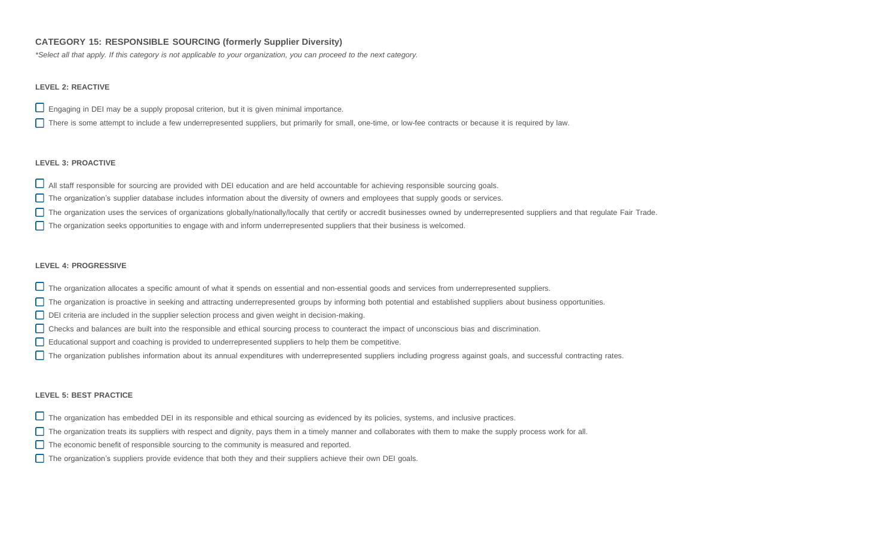# **CATEGORY 15: RESPONSIBLE SOURCING (formerly Supplier Diversity)**

\*Select all that apply. If this category is not applicable to your organization, you can proceed to the next category.

## **LEVEL 2: REACTIVE**

 $\square$  Engaging in DEI may be a supply proposal criterion, but it is given minimal importance.

There is some attempt to include a few underrepresented suppliers, but primarily for small, one-time, or low-fee contracts or because it is required by law.

### **LEVEL 3: PROACTIVE**

 $\Box$  All staff responsible for sourcing are provided with DEI education and are held accountable for achieving responsible sourcing goals.

- The organization's supplier database includes information about the diversity of owners and employees that supply goods or services.
- The organization uses the services of organizations globally/nationally/locally that certify or accredit businesses owned by underrepresented suppliers and that regulate Fair Trade.
- The organization seeks opportunities to engage with and inform underrepresented suppliers that their business is welcomed.

### **LEVEL 4: PROGRESSIVE**

- The organization allocates a specific amount of what it spends on essential and non-essential goods and services from underrepresented suppliers.
- The organization is proactive in seeking and attracting underrepresented groups by informing both potential and established suppliers about business opportunities.
- DEI criteria are included in the supplier selection process and given weight in decision-making.
- Checks and balances are built into the responsible and ethical sourcing process to counteract the impact of unconscious bias and discrimination.
- Educational support and coaching is provided to underrepresented suppliers to help them be competitive.
- The organization publishes information about its annual expenditures with underrepresented suppliers including progress against goals, and successful contracting rates.

- $\Box$  The organization has embedded DEI in its responsible and ethical sourcing as evidenced by its policies, systems, and inclusive practices.
- The organization treats its suppliers with respect and dignity, pays them in a timely manner and collaborates with them to make the supply process work for all.
- The economic benefit of responsible sourcing to the community is measured and reported.
- The organization's suppliers provide evidence that both they and their suppliers achieve their own DEI goals.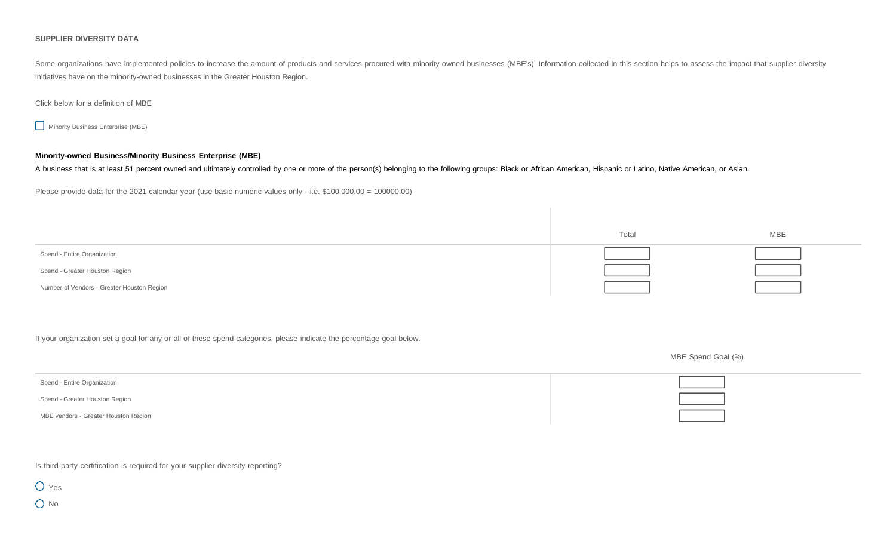#### **SUPPLIER DIVERSITY DATA**

Some organizations have implemented policies to increase the amount of products and services procured with minority-owned businesses (MBE's). Information collected in this section helps to assess the impact that supplier d initiatives have on the minority-owned businesses in the Greater Houston Region.

## Click below for a definition of MBE

**Minority Business Enterprise (MBE)** 

# **Minority-owned Business/Minority Business Enterprise (MBE)**

A business that is at least 51 percent owned and ultimately controlled by one or more of the person(s) belonging to the following groups: Black or African American, Hispanic or Latino, Native American, or Asian.

Please provide data for the 2021 calendar year (use basic numeric values only - i.e. \$100,000.00 = 100000.00)

|                                            | Total | <b>MBE</b> |
|--------------------------------------------|-------|------------|
| Spend - Entire Organization                |       |            |
| Spend - Greater Houston Region             |       |            |
| Number of Vendors - Greater Houston Region |       |            |

If your organization set a goal for any or all of these spend categories, please indicate the percentage goal below.

MBE vendors - Greater Houston Region

Spend - Entire Organization Spend - Greater Houston Region

Is third-party certification is required for your supplier diversity reporting?

O Yes O No

MBE Spend Goal (%)